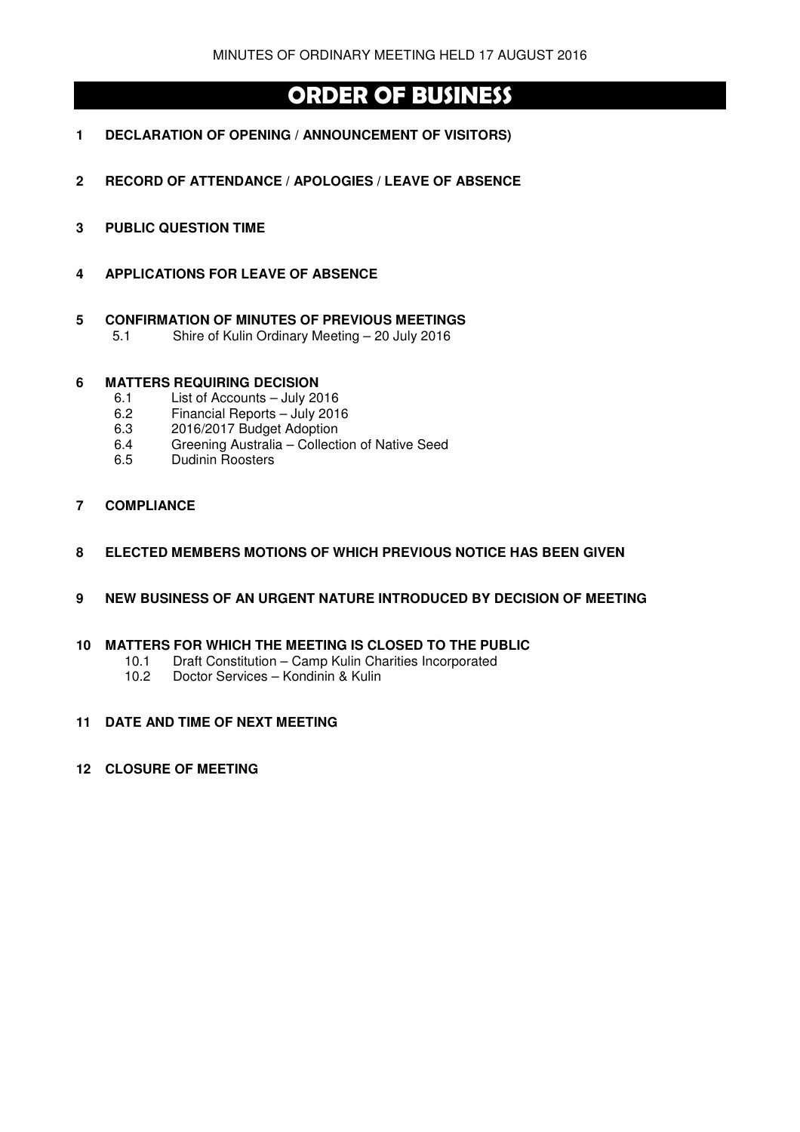# **ORDER OF BUSINESS**

- **1 DECLARATION OF OPENING / ANNOUNCEMENT OF VISITORS)**
- **2 RECORD OF ATTENDANCE / APOLOGIES / LEAVE OF ABSENCE**
- **3 PUBLIC QUESTION TIME**
- **4 APPLICATIONS FOR LEAVE OF ABSENCE**
- **5 CONFIRMATION OF MINUTES OF PREVIOUS MEETINGS** 
	- 5.1 Shire of Kulin Ordinary Meeting 20 July 2016

### **6 MATTERS REQUIRING DECISION**

- 6.1 List of Accounts July 2016
- 6.2 Financial Reports July 2016
- 6.3 2016/2017 Budget Adoption
- 6.4 Greening Australia Collection of Native Seed
- 6.5 Dudinin Roosters
- **7 COMPLIANCE**
- **8 ELECTED MEMBERS MOTIONS OF WHICH PREVIOUS NOTICE HAS BEEN GIVEN**
- **9 NEW BUSINESS OF AN URGENT NATURE INTRODUCED BY DECISION OF MEETING**

### **10 MATTERS FOR WHICH THE MEETING IS CLOSED TO THE PUBLIC**

- 10.1 Draft Constitution Camp Kulin Charities Incorporated<br>10.2 Doctor Services Kondinin & Kulin
- Doctor Services Kondinin & Kulin

### **11 DATE AND TIME OF NEXT MEETING**

**12 CLOSURE OF MEETING**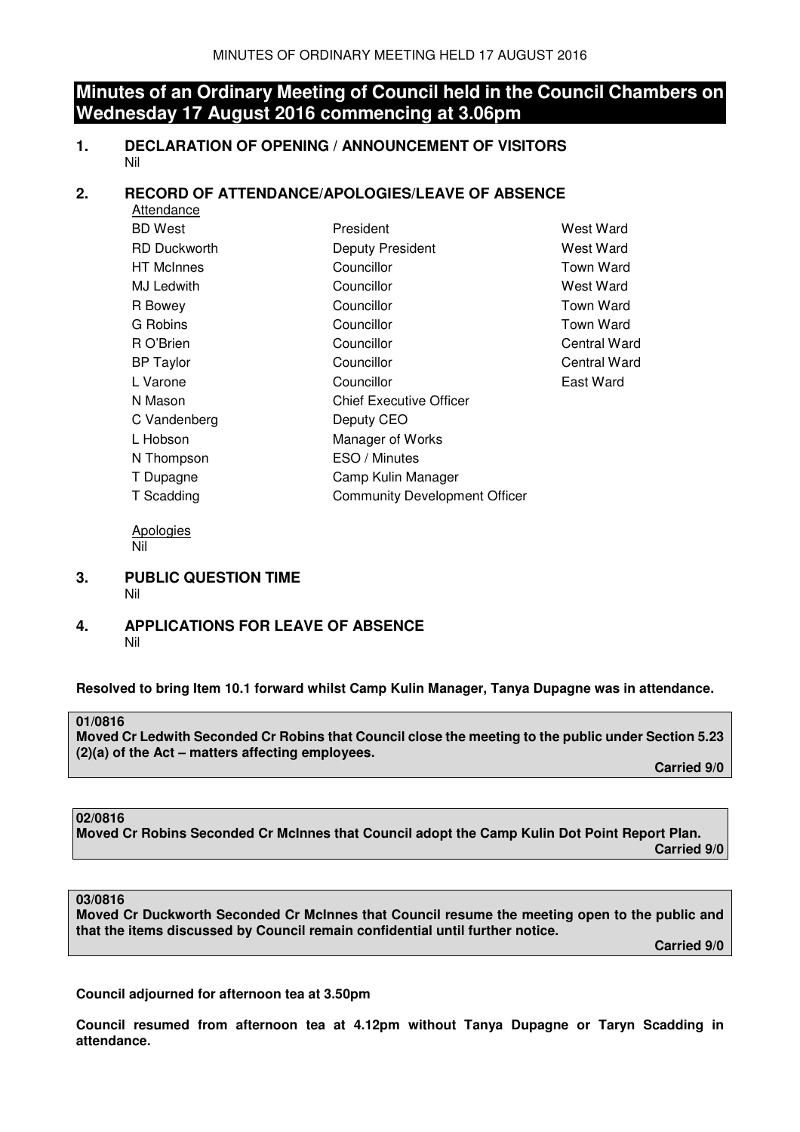## **Minutes of an Ordinary Meeting of Council held in the Council Chambers on Wednesday 17 August 2016 commencing at 3.06pm**

**1. DECLARATION OF OPENING / ANNOUNCEMENT OF VISITORS**  Nil

### **2. RECORD OF ATTENDANCE/APOLOGIES/LEAVE OF ABSENCE**

| Attendance          |                                      |                  |
|---------------------|--------------------------------------|------------------|
| <b>BD</b> West      | President                            | West Ward        |
| <b>RD Duckworth</b> | Deputy President                     | West Ward        |
| <b>HT</b> McInnes   | Councillor                           | Town Ward        |
| MJ Ledwith          | Councillor                           | West Ward        |
| R Bowey             | Councillor                           | <b>Town Ward</b> |
| G Robins            | Councillor                           | Town Ward        |
| R O'Brien           | Councillor                           | Central Ward     |
| <b>BP</b> Taylor    | Councillor                           | Central Ward     |
| L Varone            | Councillor                           | East Ward        |
| N Mason             | <b>Chief Executive Officer</b>       |                  |
| C Vandenberg        | Deputy CEO                           |                  |
| L Hobson            | Manager of Works                     |                  |
| N Thompson          | ESO / Minutes                        |                  |
| T Dupagne           | Camp Kulin Manager                   |                  |
| T Scadding          | <b>Community Development Officer</b> |                  |
|                     |                                      |                  |

 Apologies Nil

- **3. PUBLIC QUESTION TIME**  Nil
- **4. APPLICATIONS FOR LEAVE OF ABSENCE**  Nil

**Resolved to bring Item 10.1 forward whilst Camp Kulin Manager, Tanya Dupagne was in attendance.** 

### **01/0816**

**Moved Cr Ledwith Seconded Cr Robins that Council close the meeting to the public under Section 5.23 (2)(a) of the Act – matters affecting employees.** 

 **Carried 9/0** 

### **02/0816**

**Moved Cr Robins Seconded Cr McInnes that Council adopt the Camp Kulin Dot Point Report Plan. Carried 9/0** 

### **03/0816**

**Moved Cr Duckworth Seconded Cr McInnes that Council resume the meeting open to the public and that the items discussed by Council remain confidential until further notice.** 

 **Carried 9/0** 

**Council adjourned for afternoon tea at 3.50pm** 

**Council resumed from afternoon tea at 4.12pm without Tanya Dupagne or Taryn Scadding in attendance.**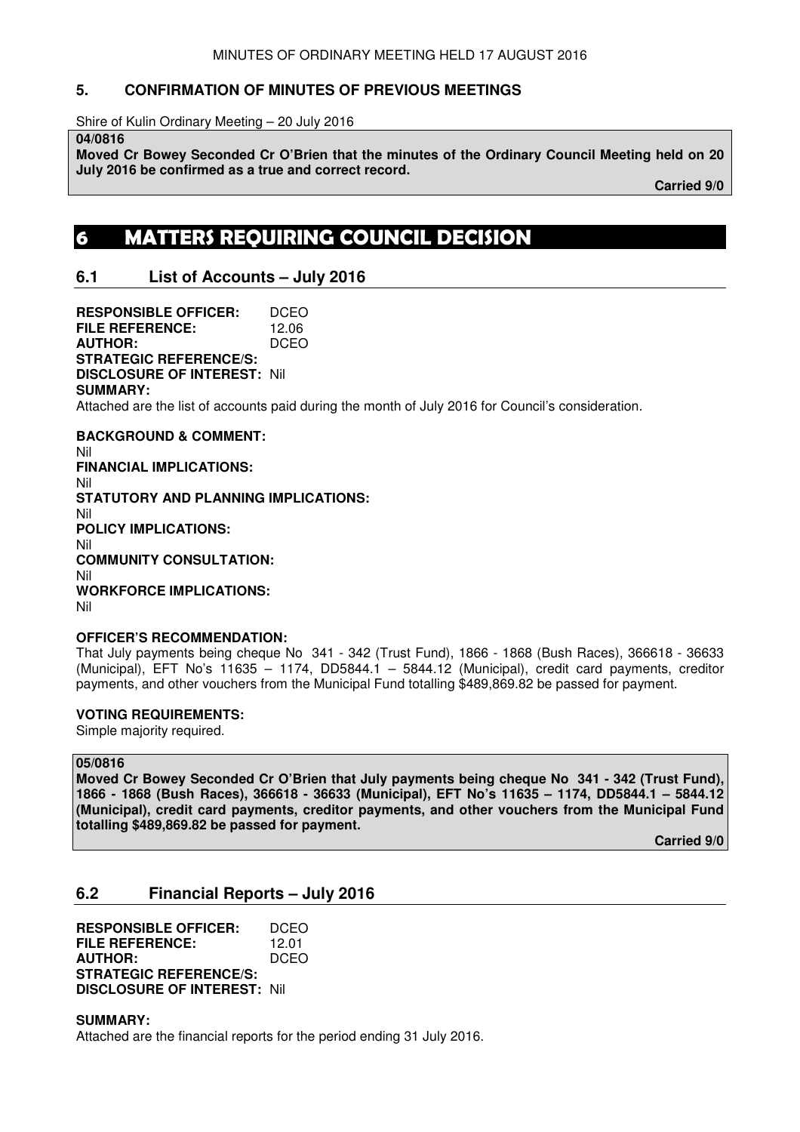### **5. CONFIRMATION OF MINUTES OF PREVIOUS MEETINGS**

Shire of Kulin Ordinary Meeting – 20 July 2016

**04/0816** 

**Moved Cr Bowey Seconded Cr O'Brien that the minutes of the Ordinary Council Meeting held on 20 July 2016 be confirmed as a true and correct record.** 

 **Carried 9/0** 

# **6 MATTERS REQUIRING COUNCIL DECISION**

### **6.1 List of Accounts – July 2016**

**RESPONSIBLE OFFICER:** DCEO **FILE REFERENCE:** 12.06 **AUTHOR:** DCEO **STRATEGIC REFERENCE/S: DISCLOSURE OF INTEREST:** Nil **SUMMARY:**  Attached are the list of accounts paid during the month of July 2016 for Council's consideration. **BACKGROUND & COMMENT:**  Nil **FINANCIAL IMPLICATIONS:**  Nil **STATUTORY AND PLANNING IMPLICATIONS:**  Nil **POLICY IMPLICATIONS:**  Nil **COMMUNITY CONSULTATION:** 

Nil **WORKFORCE IMPLICATIONS:**  Nil

### **OFFICER'S RECOMMENDATION:**

That July payments being cheque No 341 - 342 (Trust Fund), 1866 - 1868 (Bush Races), 366618 - 36633 (Municipal), EFT No's 11635 – 1174, DD5844.1 – 5844.12 (Municipal), credit card payments, creditor payments, and other vouchers from the Municipal Fund totalling \$489,869.82 be passed for payment.

### **VOTING REQUIREMENTS:**

Simple majority required.

### **05/0816**

**Moved Cr Bowey Seconded Cr O'Brien that July payments being cheque No 341 - 342 (Trust Fund), 1866 - 1868 (Bush Races), 366618 - 36633 (Municipal), EFT No's 11635 – 1174, DD5844.1 – 5844.12 (Municipal), credit card payments, creditor payments, and other vouchers from the Municipal Fund totalling \$489,869.82 be passed for payment.** 

**Carried 9/0** 

### **6.2 Financial Reports – July 2016**

**RESPONSIBLE OFFICER:** DCEO **FILE REFERENCE:** 12.01 **AUTHOR:** DCEO **STRATEGIC REFERENCE/S: DISCLOSURE OF INTEREST:** Nil

**SUMMARY:**  Attached are the financial reports for the period ending 31 July 2016.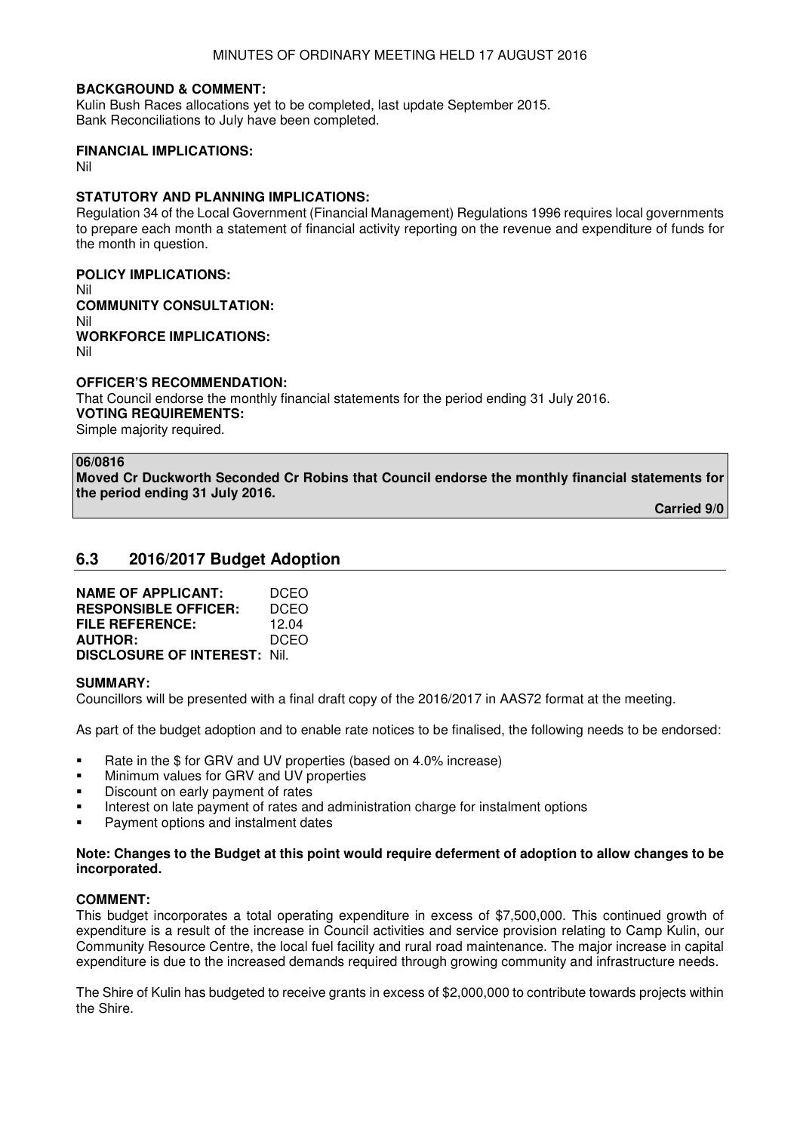### **BACKGROUND & COMMENT:**

Kulin Bush Races allocations yet to be completed, last update September 2015. Bank Reconciliations to July have been completed.

### **FINANCIAL IMPLICATIONS:**

Nil

### **STATUTORY AND PLANNING IMPLICATIONS:**

Regulation 34 of the Local Government (Financial Management) Regulations 1996 requires local governments to prepare each month a statement of financial activity reporting on the revenue and expenditure of funds for the month in question.

# **POLICY IMPLICATIONS:**

Nil **COMMUNITY CONSULTATION:**  Nil **WORKFORCE IMPLICATIONS:**  Nil

#### **OFFICER'S RECOMMENDATION:**  That Council endorse the monthly financial statements for the period ending 31 July 2016. **VOTING REQUIREMENTS:**  Simple majority required.

#### **06/0816**

**Moved Cr Duckworth Seconded Cr Robins that Council endorse the monthly financial statements for the period ending 31 July 2016.** 

**Carried 9/0** 

### **6.3 2016/2017 Budget Adoption**

| <b>NAME OF APPLICANT:</b>           | DCEO        |
|-------------------------------------|-------------|
| <b>RESPONSIBLE OFFICER:</b>         | DCEO        |
| FILE REFERENCE:                     | 12.04       |
| <b>AUTHOR:</b>                      | <b>DCEO</b> |
| <b>DISCLOSURE OF INTEREST: Nil.</b> |             |

### **SUMMARY:**

Councillors will be presented with a final draft copy of the 2016/2017 in AAS72 format at the meeting.

As part of the budget adoption and to enable rate notices to be finalised, the following needs to be endorsed:

- Rate in the \$ for GRV and UV properties (based on 4.0% increase)
- **Kallen** Minimum values for GRV and UV properties
- Discount on early payment of rates
- Interest on late payment of rates and administration charge for instalment options
- Payment options and instalment dates

### **Note: Changes to the Budget at this point would require deferment of adoption to allow changes to be incorporated.**

### **COMMENT:**

This budget incorporates a total operating expenditure in excess of \$7,500,000. This continued growth of expenditure is a result of the increase in Council activities and service provision relating to Camp Kulin, our Community Resource Centre, the local fuel facility and rural road maintenance. The major increase in capital expenditure is due to the increased demands required through growing community and infrastructure needs.

The Shire of Kulin has budgeted to receive grants in excess of \$2,000,000 to contribute towards projects within the Shire.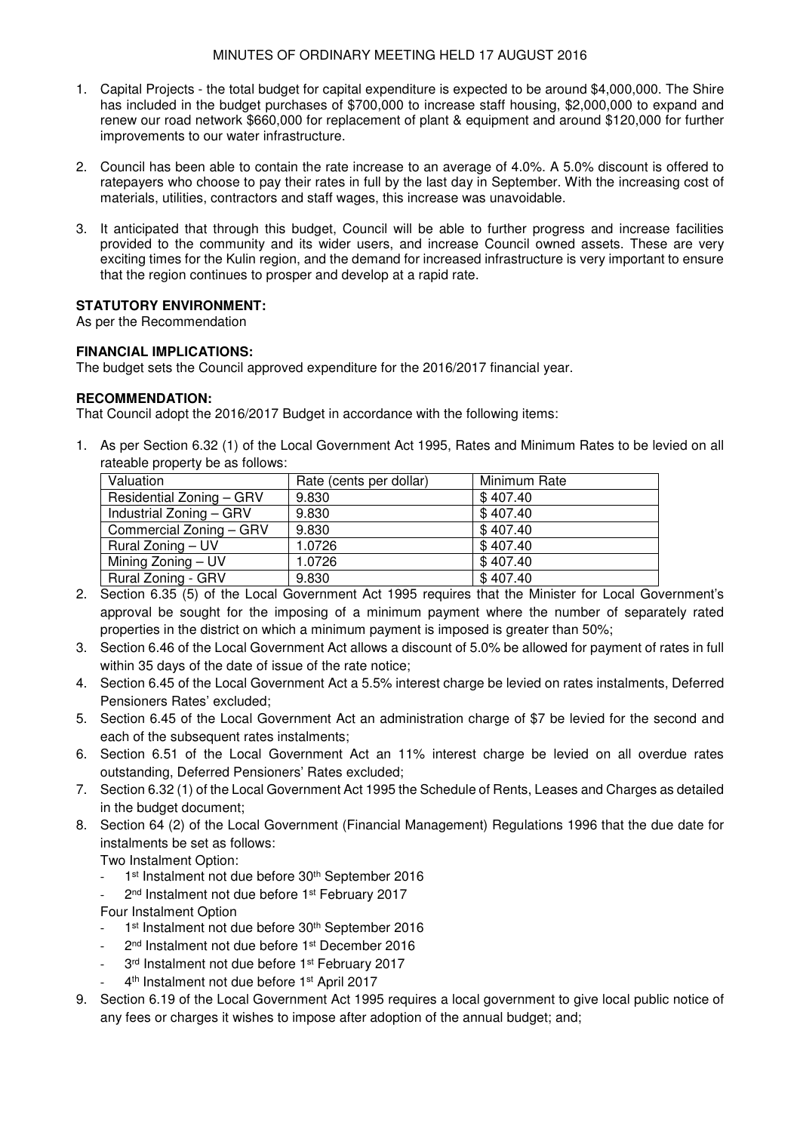- 1. Capital Projects the total budget for capital expenditure is expected to be around \$4,000,000. The Shire has included in the budget purchases of \$700,000 to increase staff housing, \$2,000,000 to expand and renew our road network \$660,000 for replacement of plant & equipment and around \$120,000 for further improvements to our water infrastructure.
- 2. Council has been able to contain the rate increase to an average of 4.0%. A 5.0% discount is offered to ratepayers who choose to pay their rates in full by the last day in September. With the increasing cost of materials, utilities, contractors and staff wages, this increase was unavoidable.
- 3. It anticipated that through this budget, Council will be able to further progress and increase facilities provided to the community and its wider users, and increase Council owned assets. These are very exciting times for the Kulin region, and the demand for increased infrastructure is very important to ensure that the region continues to prosper and develop at a rapid rate.

### **STATUTORY ENVIRONMENT:**

As per the Recommendation

### **FINANCIAL IMPLICATIONS:**

The budget sets the Council approved expenditure for the 2016/2017 financial year.

### **RECOMMENDATION:**

That Council adopt the 2016/2017 Budget in accordance with the following items:

1. As per Section 6.32 (1) of the Local Government Act 1995, Rates and Minimum Rates to be levied on all rateable property be as follows:

| Valuation                 | Rate (cents per dollar) | Minimum Rate |
|---------------------------|-------------------------|--------------|
| Residential Zoning - GRV  | 9.830                   | \$407.40     |
| Industrial Zoning - GRV   | 9.830                   | \$407.40     |
| Commercial Zoning - GRV   | 9.830                   | \$407.40     |
| Rural Zoning – UV         | 1.0726                  | \$407.40     |
| Mining Zoning - UV        | 1.0726                  | \$407.40     |
| <b>Rural Zoning - GRV</b> | 9.830                   | \$407.40     |

- 2. Section 6.35 (5) of the Local Government Act 1995 requires that the Minister for Local Government's approval be sought for the imposing of a minimum payment where the number of separately rated properties in the district on which a minimum payment is imposed is greater than 50%;
- 3. Section 6.46 of the Local Government Act allows a discount of 5.0% be allowed for payment of rates in full within 35 days of the date of issue of the rate notice;
- 4. Section 6.45 of the Local Government Act a 5.5% interest charge be levied on rates instalments, Deferred Pensioners Rates' excluded;
- 5. Section 6.45 of the Local Government Act an administration charge of \$7 be levied for the second and each of the subsequent rates instalments:
- 6. Section 6.51 of the Local Government Act an 11% interest charge be levied on all overdue rates outstanding, Deferred Pensioners' Rates excluded;
- 7. Section 6.32 (1) of the Local Government Act 1995 the Schedule of Rents, Leases and Charges as detailed in the budget document;
- 8. Section 64 (2) of the Local Government (Financial Management) Regulations 1996 that the due date for instalments be set as follows:

Two Instalment Option:

- 1<sup>st</sup> Instalment not due before 30<sup>th</sup> September 2016
- 2<sup>nd</sup> Instalment not due before 1<sup>st</sup> February 2017

Four Instalment Option

- 1<sup>st</sup> Instalment not due before 30<sup>th</sup> September 2016
- 2<sup>nd</sup> Instalment not due before 1<sup>st</sup> December 2016
- 3rd Instalment not due before 1<sup>st</sup> February 2017
- 4<sup>th</sup> Instalment not due before 1<sup>st</sup> April 2017
- 9. Section 6.19 of the Local Government Act 1995 requires a local government to give local public notice of any fees or charges it wishes to impose after adoption of the annual budget; and;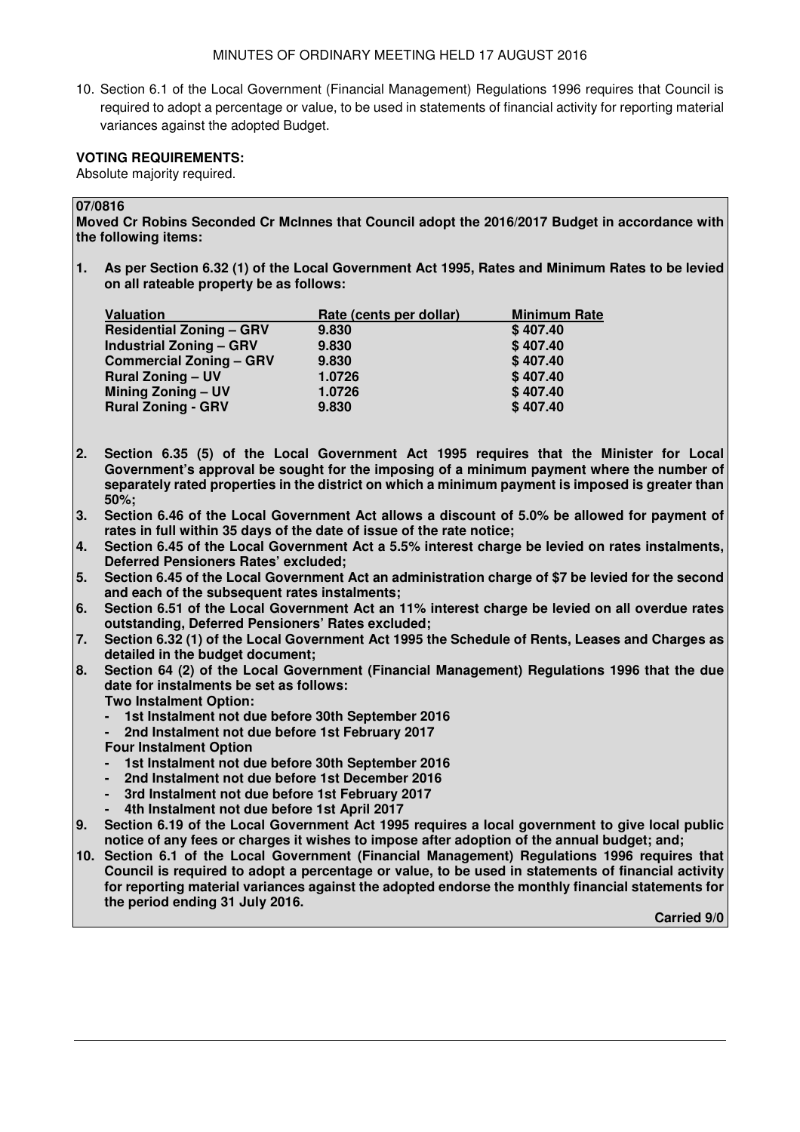10. Section 6.1 of the Local Government (Financial Management) Regulations 1996 requires that Council is required to adopt a percentage or value, to be used in statements of financial activity for reporting material variances against the adopted Budget.

### **VOTING REQUIREMENTS:**

Absolute majority required.

### **07/0816**

**Moved Cr Robins Seconded Cr McInnes that Council adopt the 2016/2017 Budget in accordance with the following items:** 

**1. As per Section 6.32 (1) of the Local Government Act 1995, Rates and Minimum Rates to be levied on all rateable property be as follows:** 

| <b>Valuation</b>                | Rate (cents per dollar) | <b>Minimum Rate</b> |
|---------------------------------|-------------------------|---------------------|
| <b>Residential Zoning - GRV</b> | 9.830                   | \$407.40            |
| <b>Industrial Zoning - GRV</b>  | 9.830                   | \$407.40            |
| <b>Commercial Zoning - GRV</b>  | 9.830                   | \$407.40            |
| <b>Rural Zoning - UV</b>        | 1.0726                  | \$407.40            |
| <b>Mining Zoning - UV</b>       | 1.0726                  | \$407.40            |
| <b>Rural Zoning - GRV</b>       | 9.830                   | \$407.40            |

- **2. Section 6.35 (5) of the Local Government Act 1995 requires that the Minister for Local Government's approval be sought for the imposing of a minimum payment where the number of separately rated properties in the district on which a minimum payment is imposed is greater than 50%;**
- **3. Section 6.46 of the Local Government Act allows a discount of 5.0% be allowed for payment of rates in full within 35 days of the date of issue of the rate notice;**
- **4. Section 6.45 of the Local Government Act a 5.5% interest charge be levied on rates instalments, Deferred Pensioners Rates' excluded;**
- **5. Section 6.45 of the Local Government Act an administration charge of \$7 be levied for the second and each of the subsequent rates instalments;**
- **6. Section 6.51 of the Local Government Act an 11% interest charge be levied on all overdue rates outstanding, Deferred Pensioners' Rates excluded;**
- **7. Section 6.32 (1) of the Local Government Act 1995 the Schedule of Rents, Leases and Charges as detailed in the budget document;**
- **8. Section 64 (2) of the Local Government (Financial Management) Regulations 1996 that the due date for instalments be set as follows:** 
	- **Two Instalment Option:**
	- 1st Instalment not due before 30th September 2016
	- **2nd Instalment not due before 1st February 2017**
	- **Four Instalment Option**
	- 1st Instalment not due before 30th September 2016
	- **2nd Instalment not due before 1st December 2016**
	- **3rd Instalment not due before 1st February 2017**
	- **4th Instalment not due before 1st April 2017**
- **9. Section 6.19 of the Local Government Act 1995 requires a local government to give local public notice of any fees or charges it wishes to impose after adoption of the annual budget; and;**
- **10. Section 6.1 of the Local Government (Financial Management) Regulations 1996 requires that Council is required to adopt a percentage or value, to be used in statements of financial activity for reporting material variances against the adopted endorse the monthly financial statements for the period ending 31 July 2016.**

**Carried 9/0**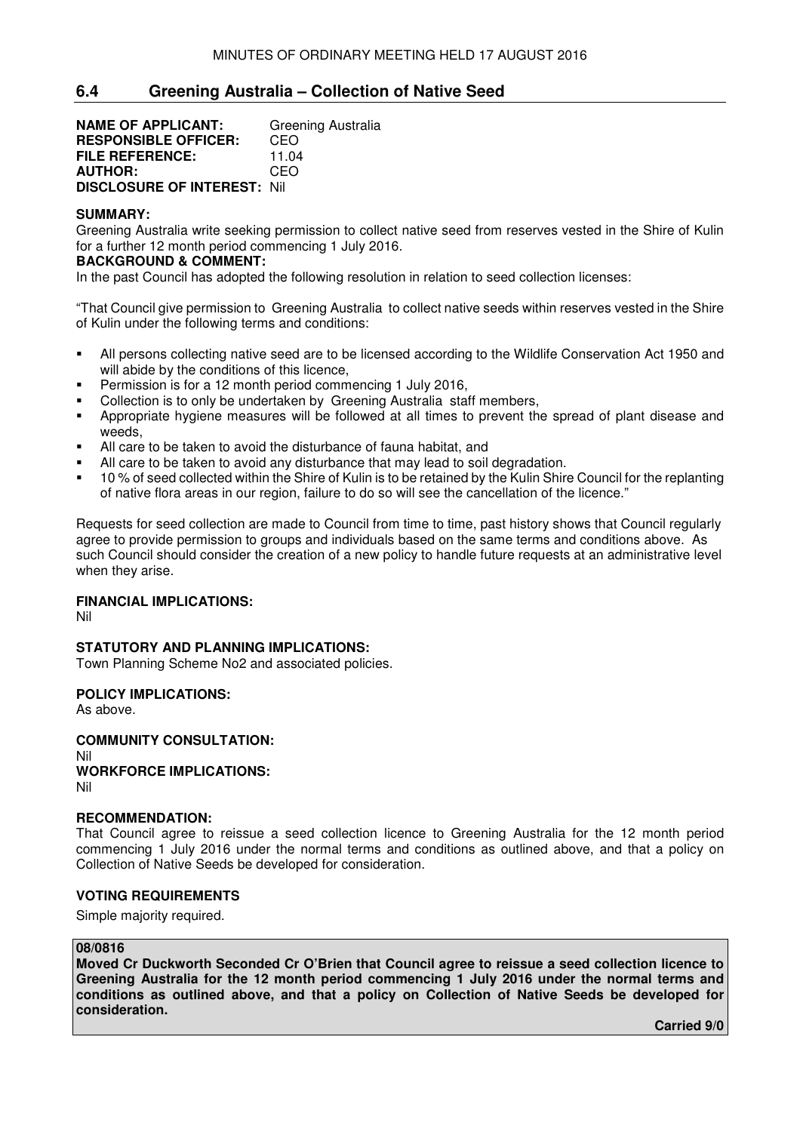### **6.4 Greening Australia – Collection of Native Seed**

**NAME OF APPLICANT:** Greening Australia **RESPONSIBLE OFFICER:** CEO<br>**FILE REFERENCE:** 11.04 **FILE REFERENCE:** 11.04<br>**AUTHOR:** CEO **AUTHOR: DISCLOSURE OF INTEREST:** Nil

### **SUMMARY:**

Greening Australia write seeking permission to collect native seed from reserves vested in the Shire of Kulin for a further 12 month period commencing 1 July 2016.

### **BACKGROUND & COMMENT:**

In the past Council has adopted the following resolution in relation to seed collection licenses:

"That Council give permission to Greening Australia to collect native seeds within reserves vested in the Shire of Kulin under the following terms and conditions:

- All persons collecting native seed are to be licensed according to the Wildlife Conservation Act 1950 and will abide by the conditions of this licence.
- Permission is for a 12 month period commencing 1 July 2016,
- Collection is to only be undertaken by Greening Australia staff members,
- Appropriate hygiene measures will be followed at all times to prevent the spread of plant disease and weeds,
- All care to be taken to avoid the disturbance of fauna habitat, and
- All care to be taken to avoid any disturbance that may lead to soil degradation.
- <sup>1</sup> 10 % of seed collected within the Shire of Kulin is to be retained by the Kulin Shire Council for the replanting of native flora areas in our region, failure to do so will see the cancellation of the licence."

Requests for seed collection are made to Council from time to time, past history shows that Council regularly agree to provide permission to groups and individuals based on the same terms and conditions above. As such Council should consider the creation of a new policy to handle future requests at an administrative level when they arise.

### **FINANCIAL IMPLICATIONS:**

Nil

### **STATUTORY AND PLANNING IMPLICATIONS:**

Town Planning Scheme No2 and associated policies.

### **POLICY IMPLICATIONS:**

As above.

**COMMUNITY CONSULTATION:** Nil **WORKFORCE IMPLICATIONS:** Nil

### **RECOMMENDATION:**

That Council agree to reissue a seed collection licence to Greening Australia for the 12 month period commencing 1 July 2016 under the normal terms and conditions as outlined above, and that a policy on Collection of Native Seeds be developed for consideration.

### **VOTING REQUIREMENTS**

Simple majority required.

### **08/0816**

**Moved Cr Duckworth Seconded Cr O'Brien that Council agree to reissue a seed collection licence to Greening Australia for the 12 month period commencing 1 July 2016 under the normal terms and conditions as outlined above, and that a policy on Collection of Native Seeds be developed for consideration.** 

**Carried 9/0**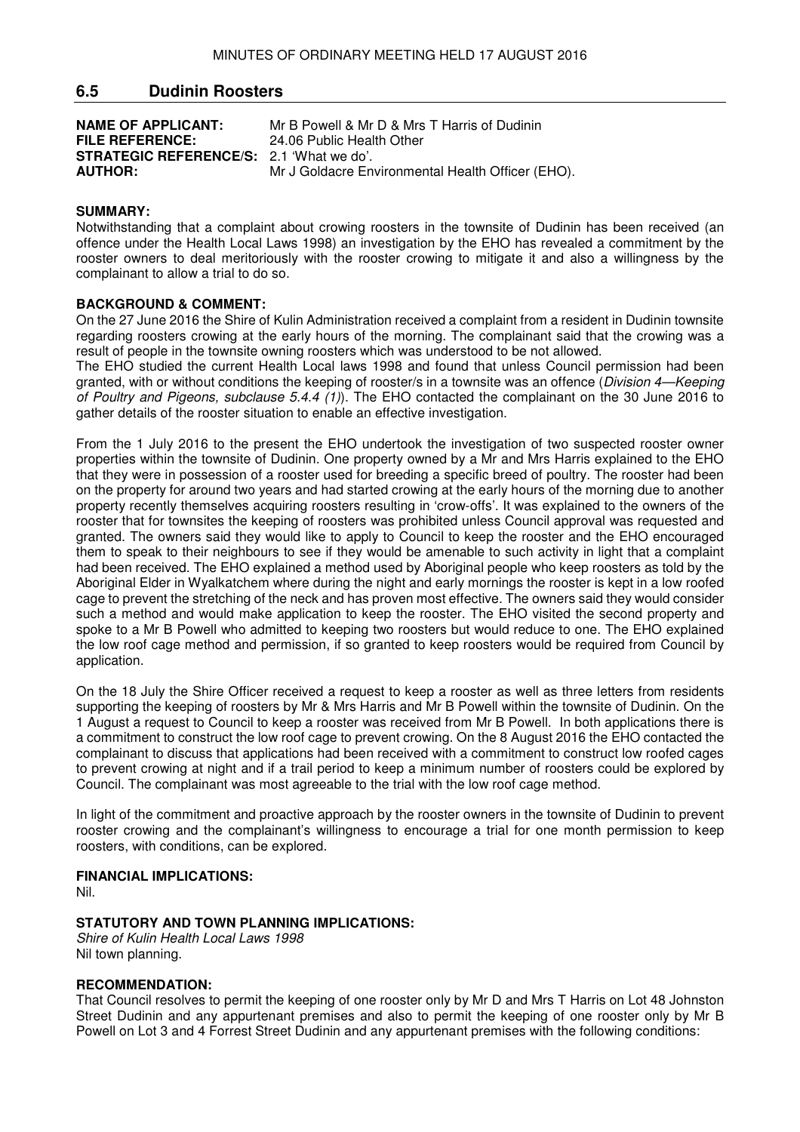### **6.5 Dudinin Roosters**

**NAME OF APPLICANT:** Mr B Powell & Mr D & Mrs T Harris of Dudinin<br>**FILE REFERENCE:** 24.06 Public Health Other 24.06 Public Health Other **STRATEGIC REFERENCE/S:** 2.1 'What we do'.<br>**AUTHOR:** Mr J Goldacre Eng **Mr J Goldacre Environmental Health Officer (EHO).** 

### **SUMMARY:**

Notwithstanding that a complaint about crowing roosters in the townsite of Dudinin has been received (an offence under the Health Local Laws 1998) an investigation by the EHO has revealed a commitment by the rooster owners to deal meritoriously with the rooster crowing to mitigate it and also a willingness by the complainant to allow a trial to do so.

### **BACKGROUND & COMMENT:**

On the 27 June 2016 the Shire of Kulin Administration received a complaint from a resident in Dudinin townsite regarding roosters crowing at the early hours of the morning. The complainant said that the crowing was a result of people in the townsite owning roosters which was understood to be not allowed.

The EHO studied the current Health Local laws 1998 and found that unless Council permission had been granted, with or without conditions the keeping of rooster/s in a townsite was an offence (*Division 4—Keeping* of Poultry and Pigeons, subclause 5.4.4 (1)). The EHO contacted the complainant on the 30 June 2016 to gather details of the rooster situation to enable an effective investigation.

From the 1 July 2016 to the present the EHO undertook the investigation of two suspected rooster owner properties within the townsite of Dudinin. One property owned by a Mr and Mrs Harris explained to the EHO that they were in possession of a rooster used for breeding a specific breed of poultry. The rooster had been on the property for around two years and had started crowing at the early hours of the morning due to another property recently themselves acquiring roosters resulting in 'crow-offs'. It was explained to the owners of the rooster that for townsites the keeping of roosters was prohibited unless Council approval was requested and granted. The owners said they would like to apply to Council to keep the rooster and the EHO encouraged them to speak to their neighbours to see if they would be amenable to such activity in light that a complaint had been received. The EHO explained a method used by Aboriginal people who keep roosters as told by the Aboriginal Elder in Wyalkatchem where during the night and early mornings the rooster is kept in a low roofed cage to prevent the stretching of the neck and has proven most effective. The owners said they would consider such a method and would make application to keep the rooster. The EHO visited the second property and spoke to a Mr B Powell who admitted to keeping two roosters but would reduce to one. The EHO explained the low roof cage method and permission, if so granted to keep roosters would be required from Council by application.

On the 18 July the Shire Officer received a request to keep a rooster as well as three letters from residents supporting the keeping of roosters by Mr & Mrs Harris and Mr B Powell within the townsite of Dudinin. On the 1 August a request to Council to keep a rooster was received from Mr B Powell. In both applications there is a commitment to construct the low roof cage to prevent crowing. On the 8 August 2016 the EHO contacted the complainant to discuss that applications had been received with a commitment to construct low roofed cages to prevent crowing at night and if a trail period to keep a minimum number of roosters could be explored by Council. The complainant was most agreeable to the trial with the low roof cage method.

In light of the commitment and proactive approach by the rooster owners in the townsite of Dudinin to prevent rooster crowing and the complainant's willingness to encourage a trial for one month permission to keep roosters, with conditions, can be explored.

### **FINANCIAL IMPLICATIONS:**

Nil.

### **STATUTORY AND TOWN PLANNING IMPLICATIONS:**

Shire of Kulin Health Local Laws 1998 Nil town planning.

### **RECOMMENDATION:**

That Council resolves to permit the keeping of one rooster only by Mr D and Mrs T Harris on Lot 48 Johnston Street Dudinin and any appurtenant premises and also to permit the keeping of one rooster only by Mr B Powell on Lot 3 and 4 Forrest Street Dudinin and any appurtenant premises with the following conditions: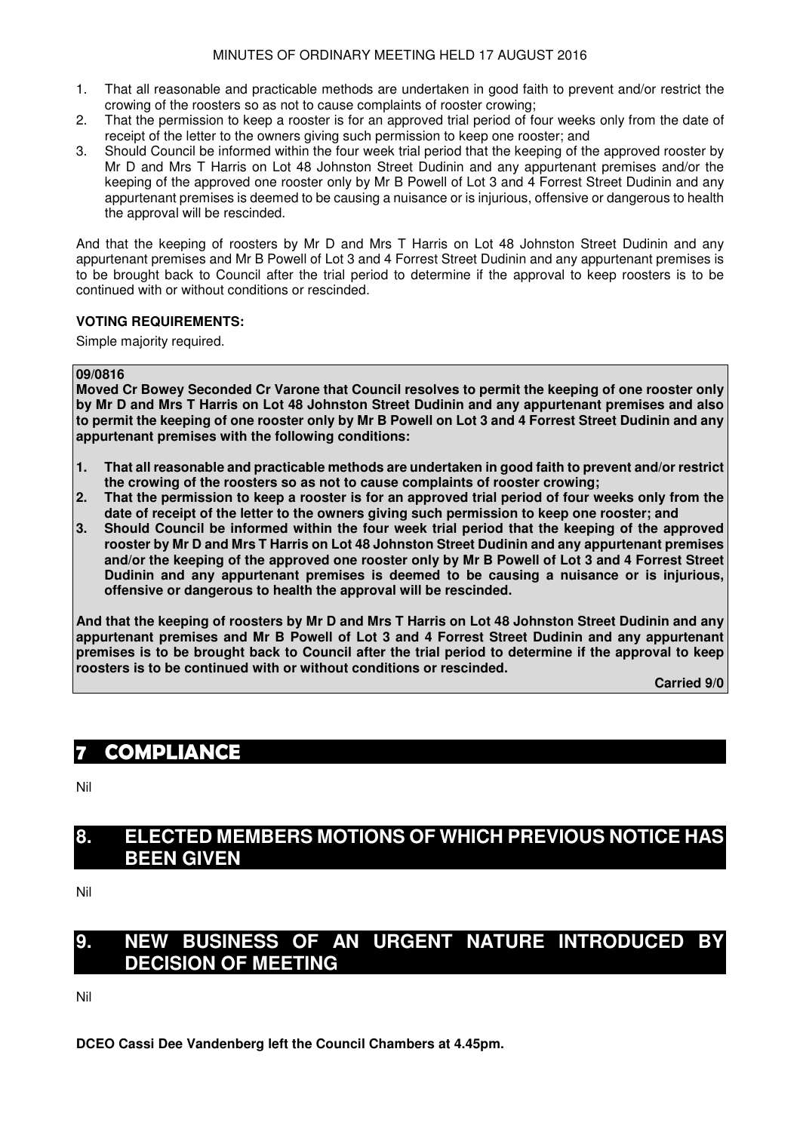### MINUTES OF ORDINARY MEETING HELD 17 AUGUST 2016

- 1. That all reasonable and practicable methods are undertaken in good faith to prevent and/or restrict the crowing of the roosters so as not to cause complaints of rooster crowing;
- 2. That the permission to keep a rooster is for an approved trial period of four weeks only from the date of receipt of the letter to the owners giving such permission to keep one rooster; and
- 3. Should Council be informed within the four week trial period that the keeping of the approved rooster by Mr D and Mrs T Harris on Lot 48 Johnston Street Dudinin and any appurtenant premises and/or the keeping of the approved one rooster only by Mr B Powell of Lot 3 and 4 Forrest Street Dudinin and any appurtenant premises is deemed to be causing a nuisance or is injurious, offensive or dangerous to health the approval will be rescinded.

And that the keeping of roosters by Mr D and Mrs T Harris on Lot 48 Johnston Street Dudinin and any appurtenant premises and Mr B Powell of Lot 3 and 4 Forrest Street Dudinin and any appurtenant premises is to be brought back to Council after the trial period to determine if the approval to keep roosters is to be continued with or without conditions or rescinded.

### **VOTING REQUIREMENTS:**

Simple majority required.

### **09/0816**

**Moved Cr Bowey Seconded Cr Varone that Council resolves to permit the keeping of one rooster only by Mr D and Mrs T Harris on Lot 48 Johnston Street Dudinin and any appurtenant premises and also to permit the keeping of one rooster only by Mr B Powell on Lot 3 and 4 Forrest Street Dudinin and any appurtenant premises with the following conditions:**

- **1. That all reasonable and practicable methods are undertaken in good faith to prevent and/or restrict the crowing of the roosters so as not to cause complaints of rooster crowing;**
- **2. That the permission to keep a rooster is for an approved trial period of four weeks only from the date of receipt of the letter to the owners giving such permission to keep one rooster; and**
- **3. Should Council be informed within the four week trial period that the keeping of the approved rooster by Mr D and Mrs T Harris on Lot 48 Johnston Street Dudinin and any appurtenant premises and/or the keeping of the approved one rooster only by Mr B Powell of Lot 3 and 4 Forrest Street Dudinin and any appurtenant premises is deemed to be causing a nuisance or is injurious, offensive or dangerous to health the approval will be rescinded.**

**And that the keeping of roosters by Mr D and Mrs T Harris on Lot 48 Johnston Street Dudinin and any appurtenant premises and Mr B Powell of Lot 3 and 4 Forrest Street Dudinin and any appurtenant premises is to be brought back to Council after the trial period to determine if the approval to keep roosters is to be continued with or without conditions or rescinded.** 

**Carried 9/0** 

# **7 COMPLIANCE**

Nil

# **8. ELECTED MEMBERS MOTIONS OF WHICH PREVIOUS NOTICE HAS BEEN GIVEN**

Nil

# **9. NEW BUSINESS OF AN URGENT NATURE INTRODUCED BY DECISION OF MEETING**

Nil

**DCEO Cassi Dee Vandenberg left the Council Chambers at 4.45pm.**